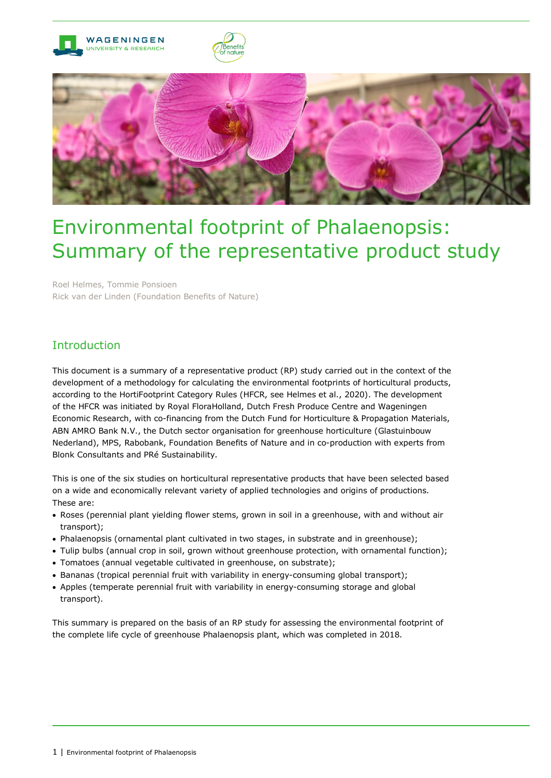

# Environmental footprint of Phalaenopsis: Summary of the representative product study

Roel Helmes, Tommie Ponsioen Rick van der Linden (Foundation Benefits of Nature)

# Introduction

This document is a summary of a representative product (RP) study carried out in the context of the development of a methodology for calculating the environmental footprints of horticultural products, according to the HortiFootprint Category Rules (HFCR, see Helmes et al., 2020). The development of the HFCR was initiated by Royal FloraHolland, Dutch Fresh Produce Centre and Wageningen Economic Research, with co-financing from the Dutch Fund for Horticulture & Propagation Materials, ABN AMRO Bank N.V., the Dutch sector organisation for greenhouse horticulture (Glastuinbouw Nederland), MPS, Rabobank, Foundation Benefits of Nature and in co-production with experts from Blonk Consultants and PRé Sustainability.

This is one of the six studies on horticultural representative products that have been selected based on a wide and economically relevant variety of applied technologies and origins of productions. These are:

- Roses (perennial plant yielding flower stems, grown in soil in a greenhouse, with and without air transport);
- Phalaenopsis (ornamental plant cultivated in two stages, in substrate and in greenhouse);
- Tulip bulbs (annual crop in soil, grown without greenhouse protection, with ornamental function);
- Tomatoes (annual vegetable cultivated in greenhouse, on substrate);
- Bananas (tropical perennial fruit with variability in energy-consuming global transport);
- Apples (temperate perennial fruit with variability in energy-consuming storage and global transport).

This summary is prepared on the basis of an RP study for assessing the environmental footprint of the complete life cycle of greenhouse Phalaenopsis plant, which was completed in 2018.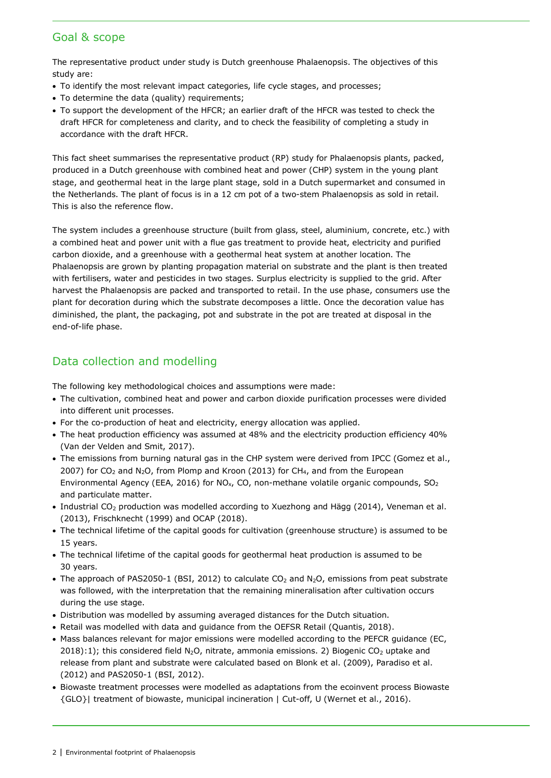## Goal & scope

The representative product under study is Dutch greenhouse Phalaenopsis. The objectives of this study are:

- To identify the most relevant impact categories, life cycle stages, and processes;
- To determine the data (quality) requirements;
- To support the development of the HFCR; an earlier draft of the HFCR was tested to check the draft HFCR for completeness and clarity, and to check the feasibility of completing a study in accordance with the draft HFCR.

This fact sheet summarises the representative product (RP) study for Phalaenopsis plants, packed, produced in a Dutch greenhouse with combined heat and power (CHP) system in the young plant stage, and geothermal heat in the large plant stage, sold in a Dutch supermarket and consumed in the Netherlands. The plant of focus is in a 12 cm pot of a two-stem Phalaenopsis as sold in retail. This is also the reference flow.

The system includes a greenhouse structure (built from glass, steel, aluminium, concrete, etc.) with a combined heat and power unit with a flue gas treatment to provide heat, electricity and purified carbon dioxide, and a greenhouse with a geothermal heat system at another location. The Phalaenopsis are grown by planting propagation material on substrate and the plant is then treated with fertilisers, water and pesticides in two stages. Surplus electricity is supplied to the grid. After harvest the Phalaenopsis are packed and transported to retail. In the use phase, consumers use the plant for decoration during which the substrate decomposes a little. Once the decoration value has diminished, the plant, the packaging, pot and substrate in the pot are treated at disposal in the end-of-life phase.

# Data collection and modelling

The following key methodological choices and assumptions were made:

- The cultivation, combined heat and power and carbon dioxide purification processes were divided into different unit processes.
- For the co-production of heat and electricity, energy allocation was applied.
- The heat production efficiency was assumed at 48% and the electricity production efficiency 40% (Van der Velden and Smit, 2017).
- The emissions from burning natural gas in the CHP system were derived from IPCC (Gomez et al., 2007) for CO<sub>2</sub> and N<sub>2</sub>O, from Plomp and Kroon (2013) for CH<sub>4</sub>, and from the European Environmental Agency (EEA, 2016) for NO<sub>x</sub>, CO, non-methane volatile organic compounds, SO<sub>2</sub> and particulate matter.
- Industrial CO<sub>2</sub> production was modelled according to Xuezhong and Hägg (2014), Veneman et al. (2013), Frischknecht (1999) and OCAP (2018).
- The technical lifetime of the capital goods for cultivation (greenhouse structure) is assumed to be 15 years.
- The technical lifetime of the capital goods for geothermal heat production is assumed to be 30 years.
- The approach of PAS2050-1 (BSI, 2012) to calculate CO<sub>2</sub> and N<sub>2</sub>O, emissions from peat substrate was followed, with the interpretation that the remaining mineralisation after cultivation occurs during the use stage.
- Distribution was modelled by assuming averaged distances for the Dutch situation.
- Retail was modelled with data and guidance from the OEFSR Retail (Quantis, 2018).
- Mass balances relevant for major emissions were modelled according to the PEFCR guidance (EC,  $2018$ ):1); this considered field N<sub>2</sub>O, nitrate, ammonia emissions. 2) Biogenic CO<sub>2</sub> uptake and release from plant and substrate were calculated based on Blonk et al. (2009), Paradiso et al. (2012) and PAS2050-1 (BSI, 2012).
- Biowaste treatment processes were modelled as adaptations from the ecoinvent process Biowaste {GLO}| treatment of biowaste, municipal incineration | Cut-off, U (Wernet et al., 2016).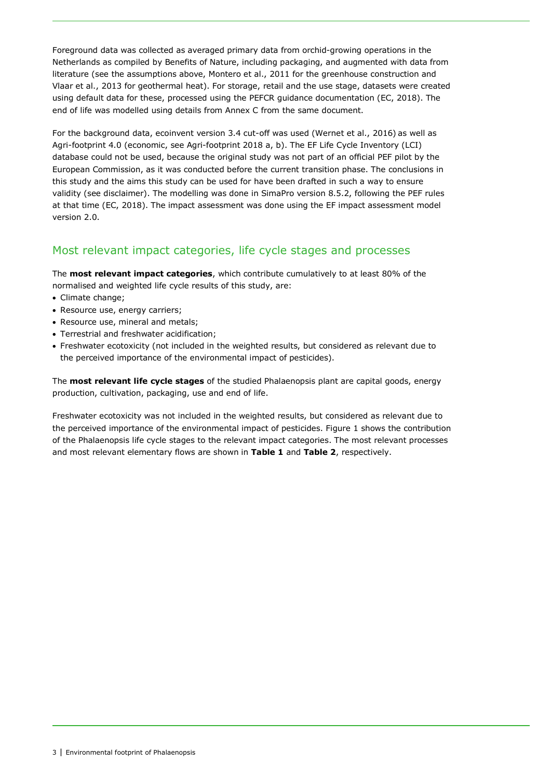Foreground data was collected as averaged primary data from orchid-growing operations in the Netherlands as compiled by Benefits of Nature, including packaging, and augmented with data from literature (see the assumptions above, Montero et al., 2011 for the greenhouse construction and Vlaar et al., 2013 for geothermal heat). For storage, retail and the use stage, datasets were created using default data for these, processed using the PEFCR guidance documentation (EC, 2018). The end of life was modelled using details from Annex C from the same document.

For the background data, ecoinvent version 3.4 cut-off was used (Wernet et al., 2016) as well as Agri-footprint 4.0 (economic, see Agri-footprint 2018 a, b). The EF Life Cycle Inventory (LCI) database could not be used, because the original study was not part of an official PEF pilot by the European Commission, as it was conducted before the current transition phase. The conclusions in this study and the aims this study can be used for have been drafted in such a way to ensure validity (see disclaimer). The modelling was done in SimaPro version 8.5.2, following the PEF rules at that time (EC, 2018). The impact assessment was done using the EF impact assessment model version 2.0.

# Most relevant impact categories, life cycle stages and processes

The **most relevant impact categories**, which contribute cumulatively to at least 80% of the normalised and weighted life cycle results of this study, are:

- Climate change;
- Resource use, energy carriers;
- Resource use, mineral and metals;
- Terrestrial and freshwater acidification;
- Freshwater ecotoxicity (not included in the weighted results, but considered as relevant due to the perceived importance of the environmental impact of pesticides).

The **most relevant life cycle stages** of the studied Phalaenopsis plant are capital goods, energy production, cultivation, packaging, use and end of life.

Freshwater ecotoxicity was not included in the weighted results, but considered as relevant due to the perceived importance of the environmental impact of pesticides. [Figure](#page-3-0) 1 shows the contribution of the Phalaenopsis life cycle stages to the relevant impact categories. The most relevant processes and most relevant elementary flows are shown in **[Table](#page-3-1) 1** and **[Table](#page-3-2) 2**, respectively.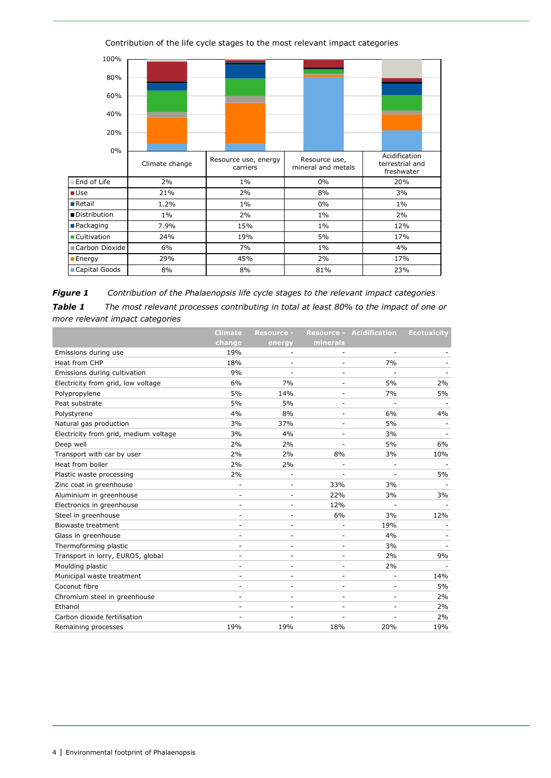

Contribution of the life cycle stages to the most relevant impact categories

<span id="page-3-1"></span><span id="page-3-0"></span>*Figure 1 Contribution of the Phalaenopsis life cycle stages to the relevant impact categories Table 1 The most relevant processes contributing in total at least 80% to the impact of one or more relevant impact categories*

<span id="page-3-2"></span>

|                                       | <b>Climate</b>           | <b>Resource -</b>        |                          | <b>Resource - Acidification</b> | <b>Ecotoxicity</b> |
|---------------------------------------|--------------------------|--------------------------|--------------------------|---------------------------------|--------------------|
|                                       | change                   | energy                   | minerals                 |                                 |                    |
| Emissions during use                  | 19%                      | $\overline{\phantom{a}}$ | $\overline{a}$           | $\overline{\phantom{a}}$        |                    |
| Heat from CHP                         | 18%                      |                          |                          | 7%                              |                    |
| Emissions during cultivation          | 9%                       |                          | ۰                        |                                 |                    |
| Electricity from grid, low voltage    | 6%                       | 7%                       | ۰                        | 5%                              | 2%                 |
| Polypropylene                         | 5%                       | 14%                      | $\overline{a}$           | 7%                              | 5%                 |
| Peat substrate                        | 5%                       | 5%                       |                          |                                 |                    |
| Polystyrene                           | 4%                       | 8%                       | $\overline{\phantom{0}}$ | 6%                              | 4%                 |
| Natural gas production                | 3%                       | 37%                      |                          | 5%                              |                    |
| Electricity from grid, medium voltage | 3%                       | 4%                       | ۰                        | 3%                              |                    |
| Deep well                             | 2%                       | 2%                       |                          | 5%                              | 6%                 |
| Transport with car by user            | 2%                       | 2%                       | 8%                       | 3%                              | 10%                |
| Heat from boiler                      | 2%                       | 2%                       |                          |                                 |                    |
| Plastic waste processing              | 2%                       | $\overline{\phantom{a}}$ | $\overline{\phantom{0}}$ |                                 | 5%                 |
| Zinc coat in greenhouse               | ä,                       |                          | 33%                      | 3%                              |                    |
| Aluminium in greenhouse               | $\overline{\phantom{m}}$ |                          | 22%                      | 3%                              | 3%                 |
| Electronics in greenhouse             |                          |                          | 12%                      |                                 |                    |
| Steel in greenhouse                   | $\overline{\phantom{m}}$ |                          | 6%                       | 3%                              | 12%                |
| <b>Biowaste treatment</b>             |                          |                          | L,                       | 19%                             |                    |
| Glass in greenhouse                   | ۰                        | ٠                        | ۰                        | 4%                              |                    |
| Thermoforming plastic                 |                          |                          |                          | 3%                              |                    |
| Transport in lorry, EURO5, global     | $\overline{\phantom{m}}$ | $\overline{\phantom{a}}$ | $\overline{a}$           | 2%                              | 9%                 |
| Moulding plastic                      | ۰                        |                          | ۰                        | 2%                              |                    |
| Municipal waste treatment             | $\overline{\phantom{m}}$ |                          | $\overline{\phantom{0}}$ |                                 | 14%                |
| Coconut fibre                         |                          |                          | $\overline{\phantom{0}}$ | $\overline{\phantom{a}}$        | 5%                 |
| Chromium steel in greenhouse          | ٠                        | $\sim$                   | $\overline{a}$           | ٠                               | 2%                 |
| Ethanol                               |                          |                          | ۰                        |                                 | 2%                 |
| Carbon dioxide fertilisation          |                          |                          | Ĭ.                       |                                 | 2%                 |
| Remaining processes                   | 19%                      | 19%                      | 18%                      | 20%                             | 19%                |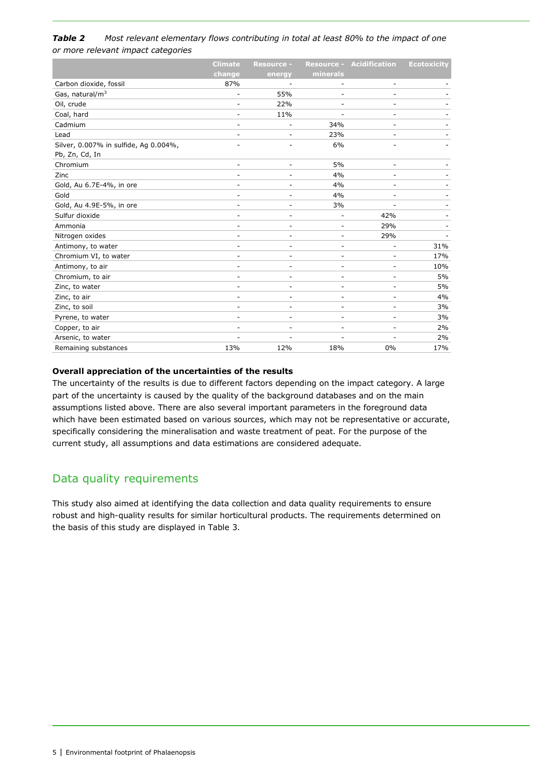#### *Table 2 Most relevant elementary flows contributing in total at least 80% to the impact of one or more relevant impact categories*

|                                       | <b>Climate</b>           | <b>Resource -</b> |                          | <b>Resource - Acidification</b> | <b>Ecotoxicity</b> |
|---------------------------------------|--------------------------|-------------------|--------------------------|---------------------------------|--------------------|
|                                       | change                   | energy            | minerals                 |                                 |                    |
| Carbon dioxide, fossil                | 87%                      |                   |                          |                                 |                    |
| Gas, natural/m <sup>3</sup>           | ٠                        | 55%               |                          |                                 |                    |
| Oil, crude                            |                          | 22%               | ٠                        |                                 |                    |
| Coal, hard                            | ۰                        | 11%               | $\sim$                   | ٠                               |                    |
| Cadmium                               |                          | ÷                 | 34%                      |                                 |                    |
| Lead                                  | ۰                        |                   | 23%                      |                                 |                    |
| Silver, 0.007% in sulfide, Ag 0.004%, |                          |                   | 6%                       |                                 |                    |
| Pb, Zn, Cd, In                        |                          |                   |                          |                                 |                    |
| Chromium                              | $\overline{\phantom{a}}$ | ٠                 | 5%                       | $\overline{\phantom{a}}$        |                    |
| Zinc                                  |                          |                   | 4%                       |                                 |                    |
| Gold, Au 6.7E-4%, in ore              | ۰                        | -                 | 4%                       | ۰                               |                    |
| Gold                                  |                          |                   | 4%                       |                                 |                    |
| Gold, Au 4.9E-5%, in ore              | ۰                        | ٠                 | 3%                       |                                 |                    |
| Sulfur dioxide                        | ۰                        | ٠                 |                          | 42%                             |                    |
| Ammonia                               | ۰                        | ٠                 | $\overline{\phantom{a}}$ | 29%                             |                    |
| Nitrogen oxides                       | $\overline{a}$           | -                 | $\overline{\phantom{a}}$ | 29%                             |                    |
| Antimony, to water                    |                          | -                 | $\overline{\phantom{m}}$ |                                 | 31%                |
| Chromium VI, to water                 | ٠                        | -                 | $\sim$                   |                                 | 17%                |
| Antimony, to air                      |                          | L,                | ÷                        |                                 | 10%                |
| Chromium, to air                      | ٠                        | L,                | ٠                        |                                 | 5%                 |
| Zinc, to water                        | $\overline{\phantom{a}}$ | ۰                 | $\overline{\phantom{a}}$ | $\overline{\phantom{m}}$        | 5%                 |
| Zinc, to air                          | $\overline{\phantom{0}}$ | ٠                 | $\overline{\phantom{m}}$ |                                 | 4%                 |
| Zinc, to soil                         | $\overline{\phantom{a}}$ | ٠                 | $\overline{\phantom{a}}$ |                                 | 3%                 |
| Pyrene, to water                      |                          | ٠                 | $\overline{\phantom{a}}$ |                                 | 3%                 |
| Copper, to air                        | ۰                        | ٠                 | ٠                        |                                 | 2%                 |
| Arsenic, to water                     |                          |                   |                          |                                 | 2%                 |
| Remaining substances                  | 13%                      | 12%               | 18%                      | 0%                              | 17%                |

#### **Overall appreciation of the uncertainties of the results**

The uncertainty of the results is due to different factors depending on the impact category. A large part of the uncertainty is caused by the quality of the background databases and on the main assumptions listed above. There are also several important parameters in the foreground data which have been estimated based on various sources, which may not be representative or accurate, specifically considering the mineralisation and waste treatment of peat. For the purpose of the current study, all assumptions and data estimations are considered adequate.

# Data quality requirements

This study also aimed at identifying the data collection and data quality requirements to ensure robust and high-quality results for similar horticultural products. The requirements determined on the basis of this study are displayed in Table 3.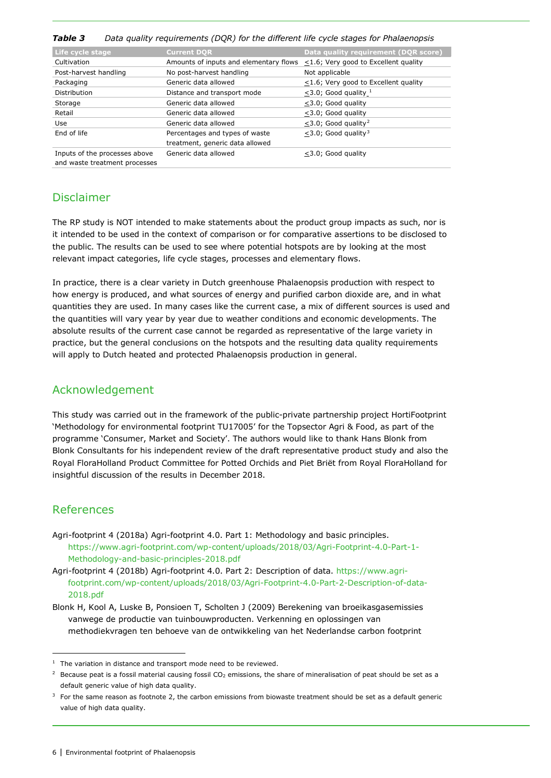| , avic J<br>Data guanty regulientents (DQK) for the uniterest life cycle stages for Frialdenopsis |                                                                   |                                            |  |  |  |
|---------------------------------------------------------------------------------------------------|-------------------------------------------------------------------|--------------------------------------------|--|--|--|
| Life cycle stage                                                                                  | <b>Current DOR</b>                                                | Data quality requirement (DQR score)       |  |  |  |
| Cultivation                                                                                       | Amounts of inputs and elementary flows                            | <1.6; Very good to Excellent quality       |  |  |  |
| Post-harvest handling                                                                             | No post-harvest handling                                          | Not applicable                             |  |  |  |
| Packaging                                                                                         | Generic data allowed                                              | $\leq$ 1.6; Very good to Excellent quality |  |  |  |
| Distribution                                                                                      | Distance and transport mode                                       | $<$ 3.0; Good quality $1$                  |  |  |  |
| Storage                                                                                           | Generic data allowed                                              | $<$ 3.0; Good quality                      |  |  |  |
| Retail                                                                                            | Generic data allowed                                              | <3.0; Good quality                         |  |  |  |
| Use                                                                                               | Generic data allowed                                              | <3.0; Good quality <sup>2</sup>            |  |  |  |
| End of life                                                                                       | Percentages and types of waste<br>treatment, generic data allowed | $<$ 3.0; Good quality <sup>3</sup>         |  |  |  |
| Inputs of the processes above<br>and waste treatment processes                                    | Generic data allowed                                              | <3.0; Good quality                         |  |  |  |

#### *Table 3 Data quality requirements (DQR) for the different life cycle stages for Phalaenopsis*

## Disclaimer

The RP study is NOT intended to make statements about the product group impacts as such, nor is it intended to be used in the context of comparison or for comparative assertions to be disclosed to the public. The results can be used to see where potential hotspots are by looking at the most relevant impact categories, life cycle stages, processes and elementary flows.

In practice, there is a clear variety in Dutch greenhouse Phalaenopsis production with respect to how energy is produced, and what sources of energy and purified carbon dioxide are, and in what quantities they are used. In many cases like the current case, a mix of different sources is used and the quantities will vary year by year due to weather conditions and economic developments. The absolute results of the current case cannot be regarded as representative of the large variety in practice, but the general conclusions on the hotspots and the resulting data quality requirements will apply to Dutch heated and protected Phalaenopsis production in general.

### Acknowledgement

This study was carried out in the framework of the public-private partnership project HortiFootprint 'Methodology for environmental footprint TU17005' for the Topsector Agri & Food, as part of the programme 'Consumer, Market and Society'. The authors would like to thank Hans Blonk from Blonk Consultants for his independent review of the draft representative product study and also the Royal FloraHolland Product Committee for Potted Orchids and Piet Briët from Royal FloraHolland for insightful discussion of the results in December 2018.

## References

1

- Agri-footprint 4 (2018a) Agri-footprint 4.0. Part 1: Methodology and basic principles. [https://www.agri-footprint.com/wp-content/uploads/2018/03/Agri-Footprint-4.0-Part-1-](https://www.agri-footprint.com/wp-content/uploads/2018/03/Agri-Footprint-4.0-Part-1-Methodology-and-basic-principles-2018.pdf) [Methodology-and-basic-principles-2018.pdf](https://www.agri-footprint.com/wp-content/uploads/2018/03/Agri-Footprint-4.0-Part-1-Methodology-and-basic-principles-2018.pdf)
- Agri-footprint 4 (2018b) Agri-footprint 4.0. Part 2: Description of data. [https://www.agri](https://www.agri-footprint.com/wp-content/uploads/2018/03/Agri-Footprint-4.0-Part-2-Description-of-data-2018.pdf)[footprint.com/wp-content/uploads/2018/03/Agri-Footprint-4.0-Part-2-Description-of-data-](https://www.agri-footprint.com/wp-content/uploads/2018/03/Agri-Footprint-4.0-Part-2-Description-of-data-2018.pdf)[2018.pdf](https://www.agri-footprint.com/wp-content/uploads/2018/03/Agri-Footprint-4.0-Part-2-Description-of-data-2018.pdf)
- Blonk H, Kool A, Luske B, Ponsioen T, Scholten J (2009) Berekening van broeikasgasemissies vanwege de productie van tuinbouwproducten. Verkenning en oplossingen van methodiekvragen ten behoeve van de ontwikkeling van het Nederlandse carbon footprint

<span id="page-5-0"></span> $1$  The variation in distance and transport mode need to be reviewed.

<span id="page-5-1"></span><sup>&</sup>lt;sup>2</sup> Because peat is a fossil material causing fossil CO<sub>2</sub> emissions, the share of mineralisation of peat should be set as a default generic value of high data quality.

<span id="page-5-2"></span> $3$  For the same reason as footnote 2, the carbon emissions from biowaste treatment should be set as a default generic value of high data quality.